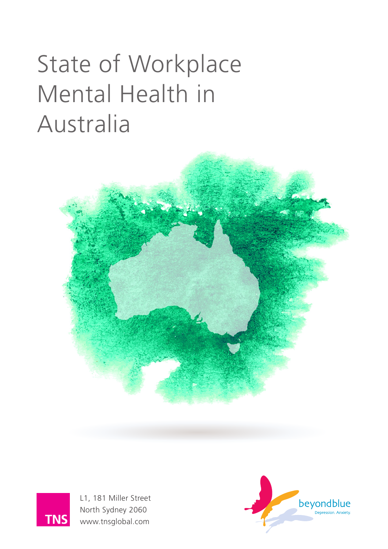# State of Workplace Mental Health in Australia





L1, 181 Miller Street North Sydney 2060 www.tnsglobal.com

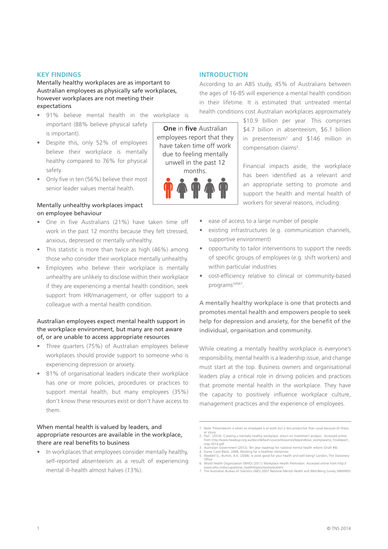#### **KEY FINDINGS**

Mentally healthy workplaces are as important to Australian employees as physically safe workplaces, however workplaces are not meeting their expectations

- 91% believe mental health in the workplace is important (88% believe physical safety is important).
- Despite this, only 52% of employees believe their workplace is mentally healthy compared to 76% for physical safety.
- Only five in ten (56%) believe their most senior leader values mental health.

#### Mentally unhealthy workplaces impact on employee behaviour

- One in five Australians (21%) have taken time off work in the past 12 months because they felt stressed, anxious, depressed or mentally unhealthy.
- This statistic is more than twice as high (46%) among those who consider their workplace mentally *un*healthy.
- Employees who believe their workplace is mentally *un*healthy are unlikely to disclose within their workplace if they are experiencing a mental health condition, seek support from HR/management, or offer support to a colleague with a mental health condition.

#### Australian employees expect mental health support in the workplace environment, but many are not aware of, or are unable to access appropriate resources

- Three quarters (75%) of Australian employees believe workplaces should provide support to someone who is experiencing depression or anxiety.
- 81% of organisational leaders indicate their workplace has one or more policies, procedures or practices to support mental health, but many employees (35%) don't know these resources exist or don't have access to them.

#### When mental health is valued by leaders, and appropriate resources are available in the workplace, there are real benefits to business

• In workplaces that employees consider mentally healthy, self-reported absenteeism as a result of experiencing mental ill-health almost halves (13%).

#### **INTRODUCTION**

According to an ABS study, 45% of Australians between the ages of 16-85 will experience a mental health condition in their lifetime. It is estimated that untreated mental health conditions cost Australian workplaces approximately

**One** in **five** Australian employees report that they have taken time off work due to feeling mentally unwell in the past 12 months.



\$10.9 billion per year. This comprises \$4.7 billion in absenteeism, \$6.1 billion in presenteeism<sup>1</sup> and  $$146$  million in compensation claims<sup>2</sup>.

Financial impacts aside, the workplace has been identified as a relevant and an appropriate setting to promote and support the health and mental health of workers for several reasons, including:

- ease of access to a large number of people
- existing infrastructures (e.g. communication channels, supportive environment)
- opportunity to tailor interventions to support the needs of specific groups of employees (e.g. shift workers) and within particular industries
- cost-efficiency relative to clinical or community-based programs<sup>34567</sup>.

A mentally healthy workplace is one that protects and promotes mental health and empowers people to seek help for depression and anxiety, for the benefit of the individual, organisation and community.

While creating a mentally healthy workplace is everyone's responsibility, mental health is a leadership issue, and change must start at the top. Business owners and organisational leaders play a critical role in driving policies and practices that promote mental health in the workplace. They have the capacity to positively influence workplace culture, management practices and the experience of employees.

3. Australian Government (2012). Ten year roadmap for national mental health reform (Draft #4).

<sup>1.</sup> Note: Presenteeism is when an employee is at work but is less productive than usual because of illness

or injury<br>2. PwC. (2014) 'Creating a mentally healthy workplace: return on investment analysis'. Accessed online<br>from http://www.headsup.org.au/docs/default-source/resources/beyondblue\_workplaceroi\_finalreport\_ may-2014.pdf

<sup>4.</sup> Dame Carol Black, 2008, Working for a healthier tomorrow. 5. Waddell G., Burton, A.K. (2006). Is work good for your health and well being? London, The Stationery

Office 6. World Health Organization (WHO) (2011) Workplace Health Promotion. Accessed online from http://

www.who.int/occupational\_health/topics/workplace/en/ 7. The Australian Bureau of Statistics (ABS) 2007 National Mental Health and Well-Being Survey (NMHWS)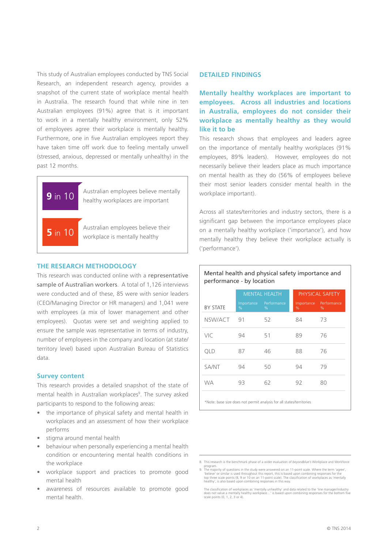This study of Australian employees conducted by TNS Social Research, an independent research agency, provides a snapshot of the current state of workplace mental health in Australia. The research found that while nine in ten Australian employees (91%) agree that is it important to work in a mentally healthy environment, only 52% of employees agree their workplace is mentally healthy. Furthermore, one in five Australian employees report they have taken time off work due to feeling mentally unwell (stressed, anxious, depressed or mentally unhealthy) in the past 12 months.



#### **THE RESEARCH METHODOLOGY**

This research was conducted online with a representative sample of Australian workers. A total of 1,126 interviews were conducted and of these, 85 were with senior leaders (CEO/Managing Director or HR managers) and 1,041 were with employees (a mix of lower management and other employees). Quotas were set and weighting applied to ensure the sample was representative in terms of industry, number of employees in the company and location (at state/ territory level) based upon Australian Bureau of Statistics data.

#### **Survey content**

This research provides a detailed snapshot of the state of mental health in Australian workplaces<sup>9</sup>. The survey asked participants to respond to the following areas:

- the importance of physical safety and mental health in workplaces and an assessment of how their workplace performs
- stigma around mental health
- behaviour when personally experiencing a mental health condition or encountering mental health conditions in the workplace
- workplace support and practices to promote good mental health
- awareness of resources available to promote good mental health.

#### **DETAILED FINDINGS**

**Mentally healthy workplaces are important to employees. Across all industries and locations in Australia, employees do not consider their workplace as mentally healthy as they would like it to be**

This research shows that employees and leaders agree on the importance of mentally healthy workplaces (91% employees, 89% leaders). However, employees do not necessarily believe their leaders place as much importance on mental health as they do (56% of employees believe their most senior leaders consider mental health in the workplace important).

Across all states/territories and industry sectors, there is a significant gap between the importance employees place on a mentally healthy workplace ('importance'), and how mentally healthy they believe their workplace actually is ('performance').

#### Mental health and physical safety importance and performance - by location

|                 | <b>MENTAL HEALTH</b> |                  | <b>PHYSICAL SAFETY</b> |                     |  |
|-----------------|----------------------|------------------|------------------------|---------------------|--|
| <b>BY STATE</b> | Importance<br>%      | Performance<br>% | Importance<br>%        | Performance<br>$\%$ |  |
| NSW/ACT         | 91                   | 52               | 84                     | 73                  |  |
| VIC             | 94                   | 51               | 89                     | 76                  |  |
| <b>QLD</b>      | 87                   | 46               | 88                     | 76                  |  |
| SA/NT           | 94                   | 50               | 94                     | 79                  |  |
| <b>WA</b>       | 93                   | 62               | 92                     | 80                  |  |
|                 |                      |                  |                        |                     |  |

\*Note: base size does not permit analysis for all states/territories

<sup>8.</sup> This research is the benchmark phase of a wider evaluation of *beyondblue's* Workplace and Workforce

program.<br>
9. The majority of questions in the study were answered on an 11-point scale. Where the term 'agree',<br>
"believe' or similar is used throughout this report, this is based upon combining responses for the<br>
top thre

The classification of workplaces as 'mentally unhealthy' and data related to the 'line manager/industry<br>does not value a mentally healthy workplace...' is based upon combining responses for the bottom five<br>scale points (0,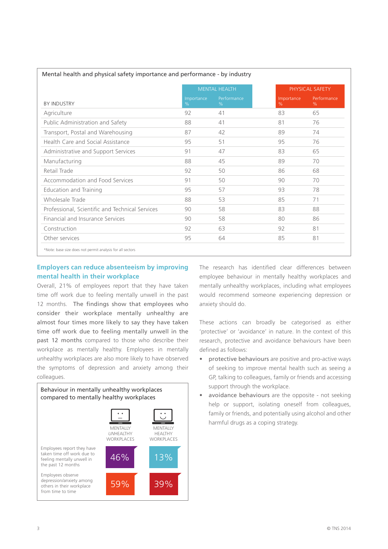|                                                 | <b>MENTAL HEALTH</b> |                  | PHYSICAL SAFETY    |                  |
|-------------------------------------------------|----------------------|------------------|--------------------|------------------|
| <b>BY INDUSTRY</b>                              | Importance<br>$\%$   | Performance<br>% | Importance<br>$\%$ | Performance<br>% |
| Agriculture                                     | 92                   | 41               | 83                 | 65               |
| Public Administration and Safety                | 88                   | 41               | 81                 | 76               |
| Transport, Postal and Warehousing               | 87                   | 42               | 89                 | 74               |
| Health Care and Social Assistance               | 95                   | 51               | 95                 | 76               |
| Administrative and Support Services             | 91                   | 47               | 83                 | 65               |
| Manufacturing                                   | 88                   | 45               | 89                 | 70               |
| Retail Trade                                    | 92                   | 50               | 86                 | 68               |
| Accommodation and Food Services                 | 91                   | 50               | 90                 | 70               |
| <b>Education and Training</b>                   | 95                   | 57               | 93                 | 78               |
| Wholesale Trade                                 | 88                   | 53               | 85                 | 71               |
| Professional, Scientific and Technical Services | 90                   | 58               | 83                 | 88               |
| Financial and Insurance Services                | 90                   | 58               | 80                 | 86               |
| Construction                                    | 92                   | 63               | 92                 | 81               |
| Other services                                  | 95                   | 64               | 85                 | 81               |

#### Mental health and physical safety importance and performance - by industry

**Employers can reduce absenteeism by improving mental health in their workplace** 

Overall, 21% of employees report that they have taken time off work due to feeling mentally unwell in the past 12 months. The findings show that employees who consider their workplace mentally unhealthy are almost four times more likely to say they have taken time off work due to feeling mentally unwell in the past 12 months compared to those who describe their workplace as mentally healthy. Employees in mentally *un*healthy workplaces are also more likely to have observed the symptoms of depression and anxiety among their colleagues.



The research has identified clear differences between employee behaviour in mentally healthy workplaces and mentally *un*healthy workplaces, including what employees would recommend someone experiencing depression or anxiety should do.

These actions can broadly be categorised as either 'protective' or 'avoidance' in nature. In the context of this research, protective and avoidance behaviours have been defined as follows:

- protective behaviours are positive and pro-active ways of seeking to improve mental health such as seeing a GP, talking to colleagues, family or friends and accessing support through the workplace.
- avoidance behaviours are the opposite not seeking help or support, isolating oneself from colleagues, family or friends, and potentially using alcohol and other harmful drugs as a coping strategy.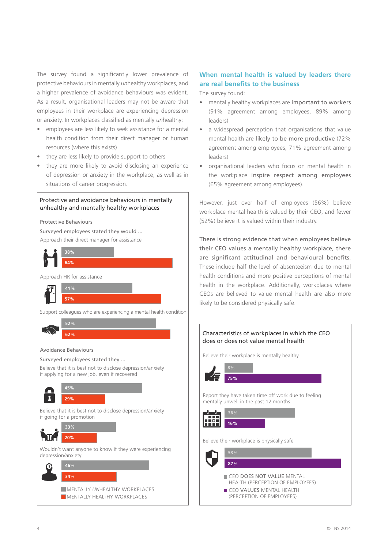The survey found a significantly lower prevalence of protective behaviours in mentally *un*healthy workplaces, and a higher prevalence of avoidance behaviours was evident. As a result, organisational leaders may not be aware that employees in their workplace are experiencing depression or anxiety. In workplaces classified as mentally *un*healthy:

- employees are less likely to seek assistance for a mental health condition from their direct manager or human resources (where this exists)
- they are less likely to provide support to others
- they are more likely to avoid disclosing an experience of depression or anxiety in the workplace, as well as in situations of career progression.

#### Protective and avoidance behaviours in mentally unhealthy and mentally healthy workplaces

Protective Behaviours

Approach their direct manager for assistance Surveyed employees stated they would ...



### **When mental health is valued by leaders there are real benefits to the business**

The survey found:

- mentally healthy workplaces are important to workers (91% agreement among employees, 89% among leaders)
- a widespread perception that organisations that value mental health are likely to be more productive (72% agreement among employees, 71% agreement among leaders)
- organisational leaders who focus on mental health in the workplace inspire respect among employees (65% agreement among employees).

However, just over half of employees (56%) believe workplace mental health is valued by their CEO, and fewer (52%) believe it is valued within their industry.

There is strong evidence that when employees believe their CEO values a mentally healthy workplace, there are significant attitudinal and behavioural benefits. These include half the level of absenteeism due to mental health conditions and more positive perceptions of mental health in the workplace. Additionally, workplaces where CEOs are believed to value mental health are also more likely to be considered physically safe.

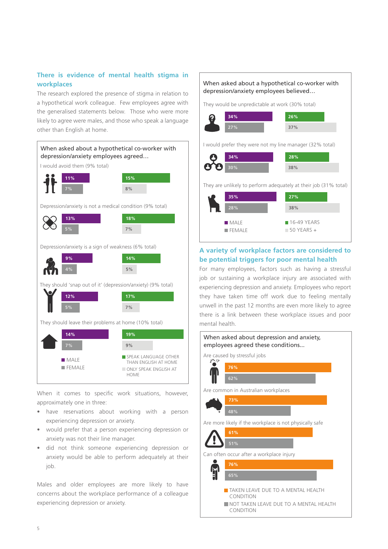#### **There is evidence of mental health stigma in workplaces**

The research explored the presence of stigma in relation to a hypothetical work colleague. Few employees agree with the generalised statements below. Those who were more likely to agree were males, and those who speak a language other than English at home.



When it comes to specific work situations, however, approximately one in three:

- have reservations about working with a person experiencing depression or anxiety.
- would prefer that a person experiencing depression or anxiety was not their line manager.
- did not think someone experiencing depression or anxiety would be able to perform adequately at their job.

Males and older employees are more likely to have concerns about the workplace performance of a colleague experiencing depression or anxiety.



#### **A variety of workplace factors are considered to be potential triggers for poor mental health**

For many employees, factors such as having a stressful job or sustaining a workplace injury are associated with experiencing depression and anxiety. Employees who report they have taken time off work due to feeling mentally unwell in the past 12 months are even more likely to agree there is a link between these workplace issues and poor mental health.

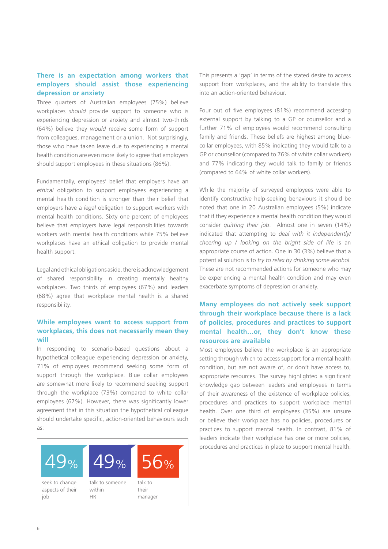#### **There is an expectation among workers that employers should assist those experiencing depression or anxiety**

Three quarters of Australian employees (75%) believe workplaces *should* provide support to someone who is experiencing depression or anxiety and almost two-thirds (64%) believe they *would* receive some form of support from colleagues, management or a union. Not surprisingly, those who have taken leave due to experiencing a mental health condition are even more likely to agree that employers should support employees in these situations (86%).

Fundamentally, employees' belief that employers have an *ethical* obligation to support employees experiencing a mental health condition is stronger than their belief that employers have a *legal* obligation to support workers with mental health conditions. Sixty one percent of employees believe that employers have legal responsibilities towards workers with mental health conditions while 75% believe workplaces have an ethical obligation to provide mental health support.

Legal and ethical obligations aside, there is acknowledgement of shared responsibility in creating mentally healthy workplaces. Two thirds of employees (67%) and leaders (68%) agree that workplace mental health is a shared responsibility.

#### **While employees want to access support from workplaces, this does not necessarily mean they will**

In responding to scenario-based questions about a hypothetical colleague experiencing depression or anxiety, 71% of employees recommend seeking some form of support through the workplace. Blue collar employees are somewhat more likely to recommend seeking support through the workplace (73%) compared to white collar employees (67%). However, there was significantly lower agreement that in this situation the hypothetical colleague should undertake specific, action-oriented behaviours such as:



This presents a 'gap' in terms of the stated desire to access support from workplaces, and the ability to translate this into an action-oriented behaviour.

Four out of five employees (81%) recommend accessing external support by talking to a GP or counsellor and a further 71% of employees would recommend consulting family and friends. These beliefs are highest among bluecollar employees, with 85% indicating they would talk to a GP or counsellor (compared to 76% of white collar workers) and 77% indicating they would talk to family or friends (compared to 64% of white collar workers).

While the majority of surveyed employees were able to identify constructive help-seeking behaviours it should be noted that one in 20 Australian employees (5%) indicate that if they experience a mental health condition they would consider *quitting their job*. Almost one in seven (14%) indicated that attempting to *deal with it independently/ cheering up / looking on the bright side of life* is an appropriate course of action. One in 30 (3%) believe that a potential solution is to *try to relax by drinking some alcohol*. These are not recommended actions for someone who may be experiencing a mental health condition and may even exacerbate symptoms of depression or anxiety.

#### **Many employees do not actively seek support through their workplace because there is a lack of policies, procedures and practices to support mental health…or, they don't know these resources are available**

Most employees believe the workplace is an appropriate setting through which to access support for a mental health condition, but are not aware of, or don't have access to, appropriate resources. The survey highlighted a significant knowledge gap between leaders and employees in terms of their awareness of the existence of workplace policies, procedures and practices to support workplace mental health. Over one third of employees (35%) are unsure or believe their workplace has no policies, procedures or practices to support mental health. In contrast, 81% of leaders indicate their workplace has one or more policies, procedures and practices in place to support mental health.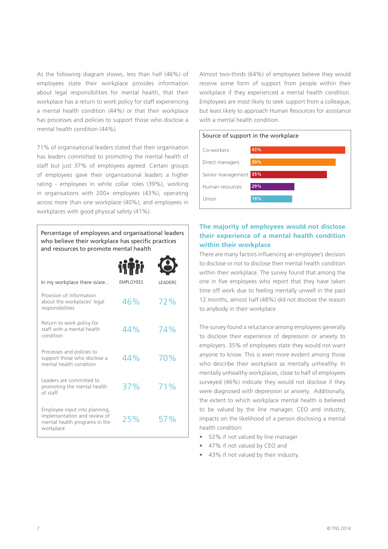As the following diagram shows, less than half (46%) of employees state their workplace provides information about legal responsibilities for mental health, that their workplace has a return to work policy for staff experiencing a mental health condition (44%) or that their workplace has processes and policies to support those who disclose a mental health condition (44%).

71% of organisational leaders stated that their organisation has leaders committed to promoting the mental health of staff but just 37% of employees agreed. Certain groups of employees gave their organisational leaders a higher rating - employees in white collar roles (39%), working in organisations with 200+ employees (43%), operating across more than one workplace (40%), and employees in workplaces with good physical safety (41%).

Percentage of employees and organisational leaders who believe their workplace has specific practices and resources to promote mental health

| In my workplace there is/are                                                                                | <b>EMPLOYEES</b> | <b>LEADERS</b> |
|-------------------------------------------------------------------------------------------------------------|------------------|----------------|
| Provision of information<br>about the workplaces' legal<br>responsibilities                                 | 46%              | 72%            |
| Return to work policy for<br>staff with a mental health<br>condition                                        | 44%              | 74%            |
| Processes and policies to<br>support those who disclose a<br>mental health condition                        | 44%              | 70%            |
| Leaders are committed to<br>promoting the mental health<br>of staff                                         | 37%              | 71%            |
| Employee input into planning,<br>implementation and review of<br>mental health programs in the<br>workplace | 25%              | 57%            |

Almost two-thirds (64%) of employees believe they would receive some form of support from people within their workplace if they experienced a mental health condition. Employees are most likely to seek support from a colleague, but least likely to approach Human Resources for assistance with a mental health condition.

#### Source of support in the workplace



#### **The majority of employees would not disclose their experience of a mental health condition within their workplace**

There are many factors influencing an employee's decision to disclose or not to disclose their mental health condition within their workplace. The survey found that among the one in five employees who report that they have taken time off work due to feeling mentally unwell in the past 12 months, almost half (48%) did not disclose the reason to anybody in their workplace.

The survey found a reluctance among employees generally to disclose their experience of depression or anxiety to employers. 35% of employees state they would not want anyone to know. This is even more evident among those who describe their workplace as mentally *un*healthy. In mentally *un*healthy workplaces, close to half of employees surveyed (46%) indicate they would not disclose if they were diagnosed with depression or anxiety. Additionally, the extent to which workplace mental health is believed to be valued by the line manager, CEO and industry, impacts on the likelihood of a person disclosing a mental health condition:

- 52% if not valued by line manager
- 47% if not valued by CEO and
- 43% if not valued by their industry.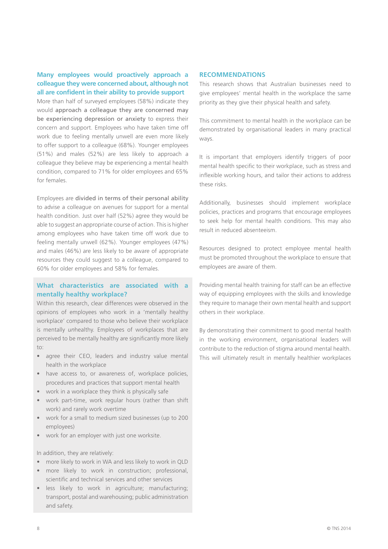#### **Many employees would proactively approach a colleague they were concerned about, although not all are confident in their ability to provide support**

More than half of surveyed employees (58%) indicate they would approach a colleague they are concerned may be experiencing depression or anxiety to express their concern and support. Employees who have taken time off work due to feeling mentally unwell are even more likely to offer support to a colleague (68%). Younger employees (51%) and males (52%) are less likely to approach a colleague they believe may be experiencing a mental health condition, compared to 71% for older employees and 65% for females.

Employees are divided in terms of their personal ability to advise a colleague on avenues for support for a mental health condition. Just over half (52%) agree they would be able to suggest an appropriate course of action. This is higher among employees who have taken time off work due to feeling mentally unwell (62%). Younger employees (47%) and males (46%) are less likely to be aware of appropriate resources they could suggest to a colleague, compared to 60% for older employees and 58% for females.

#### **What characteristics are associated with a mentally healthy workplace?**

Within this research, clear differences were observed in the opinions of employees who work in a 'mentally healthy workplace' compared to those who believe their workplace is mentally *un*healthy. Employees of workplaces that are perceived to be mentally healthy are significantly more likely to:

- agree their CEO, leaders and industry value mental health in the workplace
- have access to, or awareness of, workplace policies, procedures and practices that support mental health
- work in a workplace they think is physically safe
- work part-time, work regular hours (rather than shift work) and rarely work overtime
- work for a small to medium sized businesses (up to 200 employees)
- work for an employer with just one worksite.

In addition, they are relatively:

- more likely to work in WA and less likely to work in QLD
- more likely to work in construction; professional, scientific and technical services and other services
- less likely to work in agriculture; manufacturing; transport, postal and warehousing; public administration and safety.

#### **RECOMMENDATIONS**

This research shows that Australian businesses need to give employees' mental health in the workplace the same priority as they give their physical health and safety.

This commitment to mental health in the workplace can be demonstrated by organisational leaders in many practical ways.

It is important that employers identify triggers of poor mental health specific to their workplace, such as stress and inflexible working hours, and tailor their actions to address these risks.

Additionally, businesses should implement workplace policies, practices and programs that encourage employees to seek help for mental health conditions. This may also result in reduced absenteeism.

Resources designed to protect employee mental health must be promoted throughout the workplace to ensure that employees are aware of them.

Providing mental health training for staff can be an effective way of equipping employees with the skills and knowledge they require to manage their own mental health and support others in their workplace.

By demonstrating their commitment to good mental health in the working environment, organisational leaders will contribute to the reduction of stigma around mental health. This will ultimately result in mentally healthier workplaces